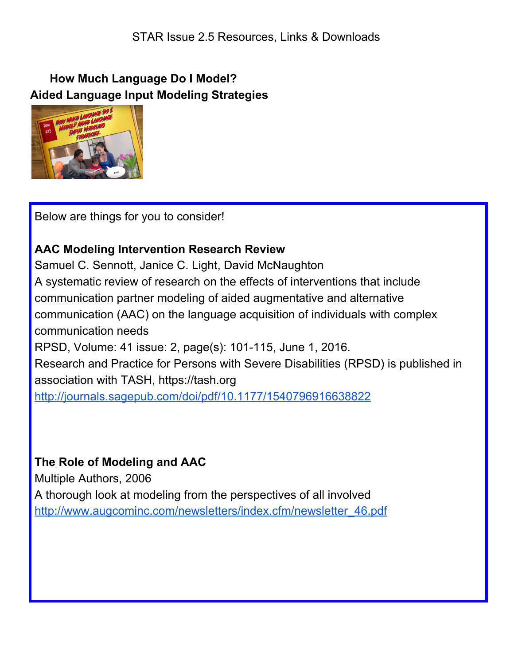### **How Much Language Do I Model? Aided Language Input Modeling Strategies**



Below are things for you to consider!

# **AAC Modeling Intervention Research Review**

Samuel C. Sennott, Janice C. Light, David McNaughton A systematic review of research on the effects of interventions that include communication partner modeling of aided augmentative and alternative communication (AAC) on the language acquisition of individuals with complex communication needs RPSD, Volume: 41 issue: 2, page(s): 101-115, June 1, 2016. Research and Practice for Persons with Severe Disabilities (RPSD) is published in association with TASH, https://tash.org <http://journals.sagepub.com/doi/pdf/10.1177/1540796916638822>

## **The Role of Modeling and AAC**

Multiple Authors, 2006 A thorough look at modeling from the perspectives of all involved [http://www.augcominc.com/newsletters/index.cfm/newsletter\\_46.pdf](http://www.augcominc.com/newsletters/index.cfm/newsletter_46.pdf)